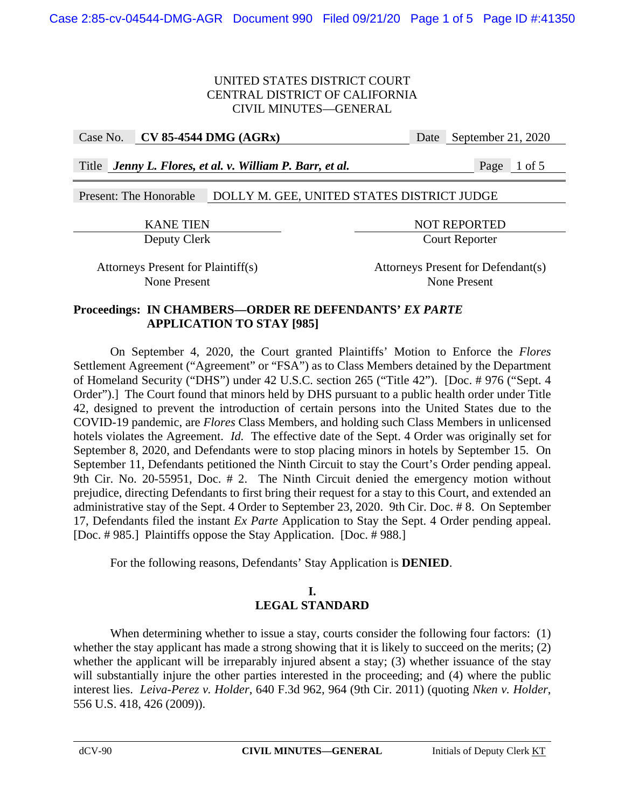Case No. **CV 85-4544 DMG (AGRx)** Date September 21, 2020

Title *Jenny L. Flores, et al. v. William P. Barr, et al.* Page 1 of 5

## Present: The Honorable DOLLY M. GEE, UNITED STATES DISTRICT JUDGE

KANE TIEN NOT REPORTED Deputy Clerk Court Reporter

Attorneys Present for Plaintiff(s) Attorneys Present for Defendant(s) None Present None Present

## **Proceedings: IN CHAMBERS—ORDER RE DEFENDANTS'** *EX PARTE*  **APPLICATION TO STAY [985]**

 On September 4, 2020, the Court granted Plaintiffs' Motion to Enforce the *Flores*  Settlement Agreement ("Agreement" or "FSA") as to Class Members detained by the Department of Homeland Security ("DHS") under 42 U.S.C. section 265 ("Title 42"). [Doc. # 976 ("Sept. 4 Order").] The Court found that minors held by DHS pursuant to a public health order under Title 42, designed to prevent the introduction of certain persons into the United States due to the COVID-19 pandemic, are *Flores* Class Members, and holding such Class Members in unlicensed hotels violates the Agreement. *Id.* The effective date of the Sept. 4 Order was originally set for September 8, 2020, and Defendants were to stop placing minors in hotels by September 15. On September 11, Defendants petitioned the Ninth Circuit to stay the Court's Order pending appeal. 9th Cir. No. 20-55951, Doc. # 2. The Ninth Circuit denied the emergency motion without prejudice, directing Defendants to first bring their request for a stay to this Court, and extended an administrative stay of the Sept. 4 Order to September 23, 2020. 9th Cir. Doc. # 8. On September 17, Defendants filed the instant *Ex Parte* Application to Stay the Sept. 4 Order pending appeal. [Doc. # 985.] Plaintiffs oppose the Stay Application. [Doc. # 988.]

For the following reasons, Defendants' Stay Application is **DENIED**.

# **I. LEGAL STANDARD**

When determining whether to issue a stay, courts consider the following four factors: (1) whether the stay applicant has made a strong showing that it is likely to succeed on the merits; (2) whether the applicant will be irreparably injured absent a stay; (3) whether issuance of the stay will substantially injure the other parties interested in the proceeding; and (4) where the public interest lies. *Leiva-Perez v. Holder*, 640 F.3d 962, 964 (9th Cir. 2011) (quoting *Nken v. Holder*, 556 U.S. 418, 426 (2009)).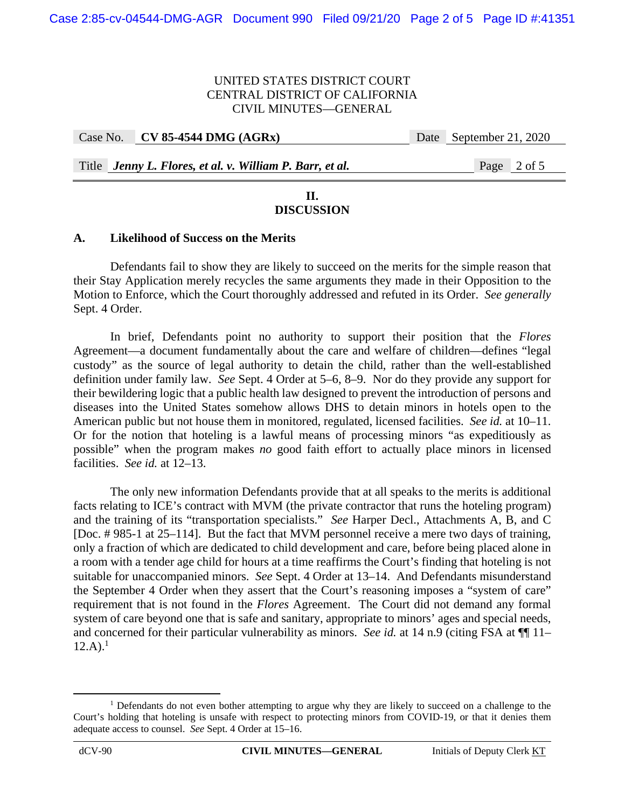| Case No. CV 85-4544 DMG $(AGRx)$                         | Date September 21, 2020 |
|----------------------------------------------------------|-------------------------|
|                                                          |                         |
| Title Jenny L. Flores, et al. v. William P. Barr, et al. | Page 2 of 5             |

## **II. DISCUSSION**

## **A. Likelihood of Success on the Merits**

Defendants fail to show they are likely to succeed on the merits for the simple reason that their Stay Application merely recycles the same arguments they made in their Opposition to the Motion to Enforce, which the Court thoroughly addressed and refuted in its Order. *See generally*  Sept. 4 Order.

In brief, Defendants point no authority to support their position that the *Flores*  Agreement—a document fundamentally about the care and welfare of children—defines "legal custody" as the source of legal authority to detain the child, rather than the well-established definition under family law. *See* Sept. 4 Order at 5–6, 8–9. Nor do they provide any support for their bewildering logic that a public health law designed to prevent the introduction of persons and diseases into the United States somehow allows DHS to detain minors in hotels open to the American public but not house them in monitored, regulated, licensed facilities. *See id.* at 10–11. Or for the notion that hoteling is a lawful means of processing minors "as expeditiously as possible" when the program makes *no* good faith effort to actually place minors in licensed facilities. *See id.* at 12–13.

The only new information Defendants provide that at all speaks to the merits is additional facts relating to ICE's contract with MVM (the private contractor that runs the hoteling program) and the training of its "transportation specialists." *See* Harper Decl., Attachments A, B, and C [Doc. # 985-1 at 25–114]. But the fact that MVM personnel receive a mere two days of training, only a fraction of which are dedicated to child development and care, before being placed alone in a room with a tender age child for hours at a time reaffirms the Court's finding that hoteling is not suitable for unaccompanied minors. *See* Sept. 4 Order at 13–14. And Defendants misunderstand the September 4 Order when they assert that the Court's reasoning imposes a "system of care" requirement that is not found in the *Flores* Agreement. The Court did not demand any formal system of care beyond one that is safe and sanitary, appropriate to minors' ages and special needs, and concerned for their particular vulnerability as minors. *See id.* at 14 n.9 (citing FSA at  $\P$  11–  $12.A$ ).<sup>1</sup>

<sup>&</sup>lt;u>1</u> <sup>1</sup> Defendants do not even bother attempting to argue why they are likely to succeed on a challenge to the Court's holding that hoteling is unsafe with respect to protecting minors from COVID-19, or that it denies them adequate access to counsel. *See* Sept. 4 Order at 15–16.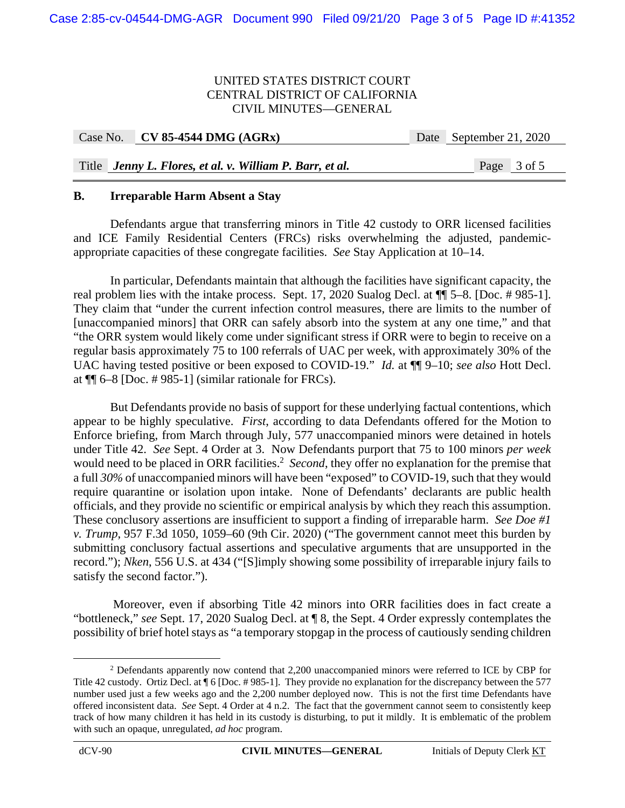| Case No. CV 85-4544 DMG $(AGRx)$                         | Date September 21, 2020 |
|----------------------------------------------------------|-------------------------|
|                                                          |                         |
| Title Jenny L. Flores, et al. v. William P. Barr, et al. | Page 3 of 5             |

#### **B. Irreparable Harm Absent a Stay**

Defendants argue that transferring minors in Title 42 custody to ORR licensed facilities and ICE Family Residential Centers (FRCs) risks overwhelming the adjusted, pandemicappropriate capacities of these congregate facilities. *See* Stay Application at 10–14.

In particular, Defendants maintain that although the facilities have significant capacity, the real problem lies with the intake process. Sept. 17, 2020 Sualog Decl. at ¶¶ 5–8. [Doc. # 985-1]. They claim that "under the current infection control measures, there are limits to the number of [unaccompanied minors] that ORR can safely absorb into the system at any one time," and that "the ORR system would likely come under significant stress if ORR were to begin to receive on a regular basis approximately 75 to 100 referrals of UAC per week, with approximately 30% of the UAC having tested positive or been exposed to COVID-19." *Id.* at ¶¶ 9–10; *see also* Hott Decl. at ¶¶ 6–8 [Doc. # 985-1] (similar rationale for FRCs).

But Defendants provide no basis of support for these underlying factual contentions, which appear to be highly speculative. *First*, according to data Defendants offered for the Motion to Enforce briefing, from March through July, 577 unaccompanied minors were detained in hotels under Title 42. *See* Sept. 4 Order at 3. Now Defendants purport that 75 to 100 minors *per week* would need to be placed in ORR facilities.<sup>2</sup> Second, they offer no explanation for the premise that a full *30%* of unaccompanied minors will have been "exposed" to COVID-19, such that they would require quarantine or isolation upon intake. None of Defendants' declarants are public health officials, and they provide no scientific or empirical analysis by which they reach this assumption. These conclusory assertions are insufficient to support a finding of irreparable harm. *See Doe #1 v. Trump*, 957 F.3d 1050, 1059–60 (9th Cir. 2020) ("The government cannot meet this burden by submitting conclusory factual assertions and speculative arguments that are unsupported in the record."); *Nken*, 556 U.S. at 434 ("[S]imply showing some possibility of irreparable injury fails to satisfy the second factor.").

 Moreover, even if absorbing Title 42 minors into ORR facilities does in fact create a "bottleneck," *see* Sept. 17, 2020 Sualog Decl. at ¶ 8, the Sept. 4 Order expressly contemplates the possibility of brief hotel stays as "a temporary stopgap in the process of cautiously sending children

 $\begin{array}{c|c}\n\hline\n\text{2}\n\end{array}$  Defendants apparently now contend that 2,200 unaccompanied minors were referred to ICE by CBP for Title 42 custody. Ortiz Decl. at  $\P$  6 [Doc. #985-1]. They provide no explanation for the discrepancy between the 577 number used just a few weeks ago and the 2,200 number deployed now. This is not the first time Defendants have offered inconsistent data. *See* Sept. 4 Order at 4 n.2. The fact that the government cannot seem to consistently keep track of how many children it has held in its custody is disturbing, to put it mildly. It is emblematic of the problem with such an opaque, unregulated, *ad hoc* program.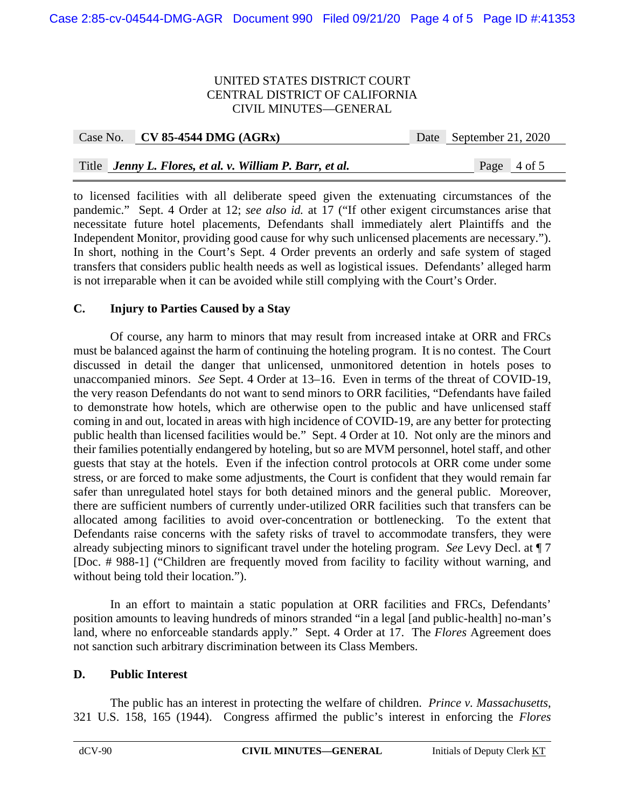| Case No. CV 85-4544 DMG $(AGRx)$                         | Date September 21, 2020 |
|----------------------------------------------------------|-------------------------|
|                                                          |                         |
| Title Jenny L. Flores, et al. v. William P. Barr, et al. | Page $4$ of 5           |

to licensed facilities with all deliberate speed given the extenuating circumstances of the pandemic." Sept. 4 Order at 12; *see also id.* at 17 ("If other exigent circumstances arise that necessitate future hotel placements, Defendants shall immediately alert Plaintiffs and the Independent Monitor, providing good cause for why such unlicensed placements are necessary."). In short, nothing in the Court's Sept. 4 Order prevents an orderly and safe system of staged transfers that considers public health needs as well as logistical issues. Defendants' alleged harm is not irreparable when it can be avoided while still complying with the Court's Order.

## **C. Injury to Parties Caused by a Stay**

Of course, any harm to minors that may result from increased intake at ORR and FRCs must be balanced against the harm of continuing the hoteling program. It is no contest. The Court discussed in detail the danger that unlicensed, unmonitored detention in hotels poses to unaccompanied minors. *See* Sept. 4 Order at 13–16. Even in terms of the threat of COVID-19, the very reason Defendants do not want to send minors to ORR facilities, "Defendants have failed to demonstrate how hotels, which are otherwise open to the public and have unlicensed staff coming in and out, located in areas with high incidence of COVID-19, are any better for protecting public health than licensed facilities would be." Sept. 4 Order at 10. Not only are the minors and their families potentially endangered by hoteling, but so are MVM personnel, hotel staff, and other guests that stay at the hotels. Even if the infection control protocols at ORR come under some stress, or are forced to make some adjustments, the Court is confident that they would remain far safer than unregulated hotel stays for both detained minors and the general public. Moreover, there are sufficient numbers of currently under-utilized ORR facilities such that transfers can be allocated among facilities to avoid over-concentration or bottlenecking. To the extent that Defendants raise concerns with the safety risks of travel to accommodate transfers, they were already subjecting minors to significant travel under the hoteling program. *See* Levy Decl. at ¶ 7 [Doc. # 988-1] ("Children are frequently moved from facility to facility without warning, and without being told their location.").

In an effort to maintain a static population at ORR facilities and FRCs, Defendants' position amounts to leaving hundreds of minors stranded "in a legal [and public-health] no-man's land, where no enforceable standards apply." Sept. 4 Order at 17. The *Flores* Agreement does not sanction such arbitrary discrimination between its Class Members.

## **D. Public Interest**

The public has an interest in protecting the welfare of children. *Prince v. Massachusetts*, 321 U.S. 158, 165 (1944). Congress affirmed the public's interest in enforcing the *Flores*